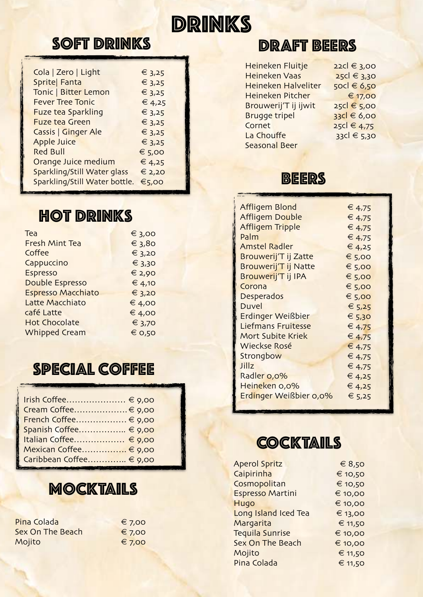# DRINKS

#### **SOFT DRINKS**

| Cola   Zero   Light           | € $3,25$        |
|-------------------------------|-----------------|
| Sprite  Fanta                 | € $3,25$        |
| Tonic   Bitter Lemon          | € $3,25$        |
| <b>Fever Tree Tonic</b>       | € 4,25          |
| <b>Fuze tea Sparkling</b>     | $\epsilon$ 3,25 |
| <b>Fuze tea Green</b>         | $\xi$ 3,25      |
| Cassis   Ginger Ale           | € $3,25$        |
| <b>Apple Juice</b>            | € 3,25          |
| <b>Red Bull</b>               | € 5,00          |
| Orange Juice medium           | € 4,25          |
| Sparkling/Still Water glass   | € 2,20          |
| Sparkling/Still Water bottle. | €5,00           |
|                               |                 |

#### **HOT DRINKS**

| Tea                       | € 3,00     |
|---------------------------|------------|
| <b>Fresh Mint Tea</b>     | $\xi$ 3,80 |
| Coffee                    | € 3,20     |
| Cappuccino                | $\xi$ 3,30 |
| Espresso                  | € 2,90     |
| <b>Double Espresso</b>    | € 4,10     |
| <b>Espresso Macchiato</b> | € 3,20     |
| Latte Macchiato           | € 4,00     |
| café Latte                | € 4,00     |
| <b>Hot Chocolate</b>      | € 3,70     |
| <b>Whipped Cream</b>      | € 0,50     |
|                           |            |

#### Special Coffee

| Irish Coffee € 9,00     |
|-------------------------|
| Cream Coffee € 9,00     |
| French Coffee € 9,00    |
| Spanish Coffee € 9,00   |
| Italian Coffee € 9,00   |
| Mexican Coffee € 9,00   |
| Caribbean Coffee € 9,00 |
|                         |

#### MOCKTAILS

| Pina Colada      | $\epsilon$ 7,00 |
|------------------|-----------------|
| Sex On The Beach | € 7,00          |
| Mojito           | € 7,00          |

#### DRAfT BeerS

| Heineken Fluitje     | 22cl € 3,00   |
|----------------------|---------------|
| Heineken Vaas        | 25cl € 3,30   |
| Heineken Halveliter  | 50cl € 6,50   |
| Heineken Pitcher     | € 17,00       |
| Brouwerij'T ij ijwit | 25cl € 5,00   |
| <b>Brugge tripel</b> | $33c$ € 6,00  |
| Cornet               | 25cl € 4,75   |
| La Chouffe           | $33c$ $65,30$ |
| <b>Seasonal Beer</b> |               |

#### **BEERS**

| Affligem Blond              | € $4,75$ |
|-----------------------------|----------|
| <b>Affligem Double</b>      | € 4,75   |
| <b>Affligem Tripple</b>     | € 4,75   |
| Palm                        | € 4,75   |
| <b>Amstel Radler</b>        | € 4,25   |
| Brouwerij'T ij Zatte        | € 5,00   |
| <b>Brouwerij'T ij Natte</b> | € 5,00   |
| Brouwerij'T ij IPA          | € 5,00   |
| Corona                      | € 5,00   |
| Desperados                  | € 5,00   |
| Duvel                       | € 5,25   |
| Erdinger Weißbier           | € 5,30   |
| <b>Liefmans Fruitesse</b>   | € 4,75   |
| Mort Subite Kriek           | € 4,75   |
| Wieckse Rosé                | € 4,75   |
| Strongbow                   | € 4,75   |
| Jillz                       | € 4,75   |
| Radler 0,0%                 | € 4,25   |
| Heineken 0,0%               | € 4,25   |
| Erdinger Weißbier 0,0%      | € 5,25   |
|                             |          |

#### **COCKTAILS**

| <b>Aperol Spritz</b>    | € 8,50  |
|-------------------------|---------|
| Caipirinha              | € 10,50 |
| Cosmopolitan            | € 10,50 |
| <b>Espresso Martini</b> | € 10,00 |
| Hugo                    | € 10,00 |
| Long Island Iced Tea    | € 13,00 |
| Margarita               | € 11,50 |
| <b>Tequila Sunrise</b>  | € 10,00 |
| <b>Sex On The Beach</b> | € 10,00 |
| Mojito                  | € 11,50 |
| Pina Colada             | € 11,50 |